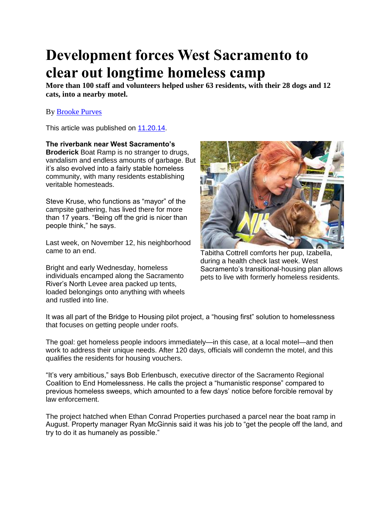## **Development forces West Sacramento to clear out longtime homeless camp**

**More than 100 staff and volunteers helped usher 63 residents, with their 28 dogs and 12 cats, into a nearby motel.**

## By [Brooke Purves](http://www.newsreview.com/sacramento/brooke-purves/author)

This article was published on [11.20.14.](http://www.newsreview.com/sacramento/2014-11-20/archive)

**The riverbank near West Sacramento's Broderick** Boat Ramp is no stranger to drugs, vandalism and endless amounts of garbage. But it's also evolved into a fairly stable homeless community, with many residents establishing veritable homesteads.

Steve Kruse, who functions as "mayor" of the campsite gathering, has lived there for more than 17 years. "Being off the grid is nicer than people think," he says.

Last week, on November 12, his neighborhood came to an end.

Bright and early Wednesday, homeless individuals encamped along the Sacramento River's North Levee area packed up tents, loaded belongings onto anything with wheels and rustled into line.



Tabitha Cottrell comforts her pup, Izabella, during a health check last week. West Sacramento's transitional-housing plan allows pets to live with formerly homeless residents.

It was all part of the Bridge to Housing pilot project, a "housing first" solution to homelessness that focuses on getting people under roofs.

The goal: get homeless people indoors immediately—in this case, at a local motel—and then work to address their unique needs. After 120 days, officials will condemn the motel, and this qualifies the residents for housing vouchers.

"It's very ambitious," says Bob Erlenbusch, executive director of the Sacramento Regional Coalition to End Homelessness. He calls the project a "humanistic response" compared to previous homeless sweeps, which amounted to a few days' notice before forcible removal by law enforcement.

The project hatched when Ethan Conrad Properties purchased a parcel near the boat ramp in August. Property manager Ryan McGinnis said it was his job to "get the people off the land, and try to do it as humanely as possible."